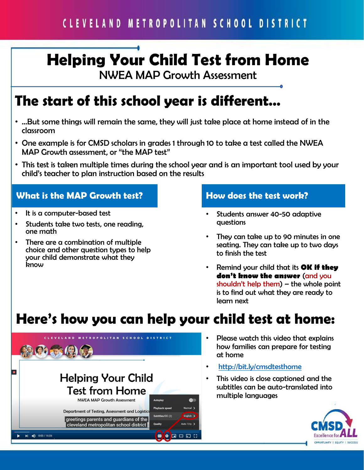#### CLEVELAND METROPOLITAN SCHOOL DISTRICT

## **Helping Your Child Test from Home**

NWEA MAP Growth Assessment

#### **The start of this school year is different…**

- …But some things will remain the same, they will just take place at home instead of in the classroom
- One example is for CMSD scholars in grades 1 through 10 to take a test called the NWEA MAP Growth assessment, or "the MAP test"
- This test is taken multiple times during the school year and is an important tool used by your child's teacher to plan instruction based on the results

#### **What is the MAP Growth test?**

- It is a computer-based test
- Students take two tests, one reading, one math
- There are a combination of multiple choice and other question types to help your child demonstrate what they know

#### **How does the test work?**

- Students answer 40-50 adaptive questions
- They can take up to 90 minutes in one seating. They can take up to two days to finish the test
- Remind your child that its **OK if they don't know the answer** (and you shouldn't help them) – the whole point is to find out what they are ready to learn next

#### **Here's how you can help your child test at home:**



- Please watch this video that explains how families can prepare for testing at home
- <http://bit.ly/cmsdtesthome>
- This video is close captioned and the subtitles can be auto-translated into multiple languages

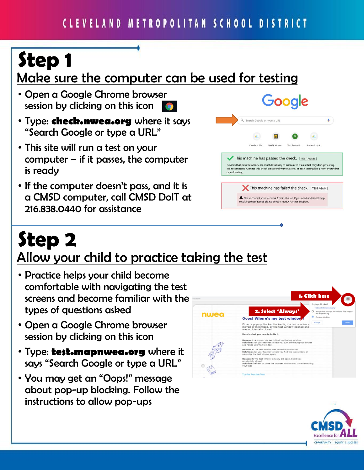# **Step 1**

#### Make sure the computer can be used for testing

- Open a Google Chrome browser session by clicking on this icon
- Type: **check.nwea.org** where it says "Search Google or type a URL"
- This site will run a test on your computer  $-$  if it passes, the computer is ready
- If the computer doesn't pass, and it is a CMSD computer, call CMSD DoIT at 216.838.0440 for assistance



## **Step 2** Allow your child to practice taking the test

- Practice helps your child become comfortable with navigating the test screens and become familiar with the types of questions asked
- Open a Google Chrome browser session by clicking on this icon
- Type: **test.mapnwea.org** where it says "Search Google or type a URL"
- You may get an "Oops!" message about pop-up blocking. Follow the instructions to allow pop-ups



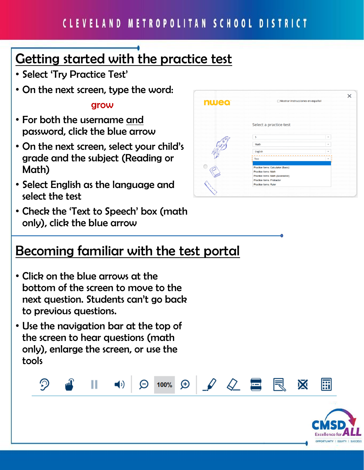$\oplus$ 

100%

 $\mathcal{Q}^-$ 

### Getting started with the practice test

- Select 'Try Practice Test'
- On the next screen, type the word:

#### grow

- For both the username and password, click the blue arrow
- On the next screen, select your child's grade and the subject (Reading or Math)
- Select English as the language and select the test
- Check the 'Text to Speech' box (math only), click the blue arrow

#### Becoming familiar with the test portal

- Click on the blue arrows at the bottom of the screen to move to the next question. Students can't go back to previous questions.
- Use the navigation bar at the top of the screen to hear questions (math only), enlarge the screen, or use the tools

Ш

 $\blacksquare$ 

の





翩

X